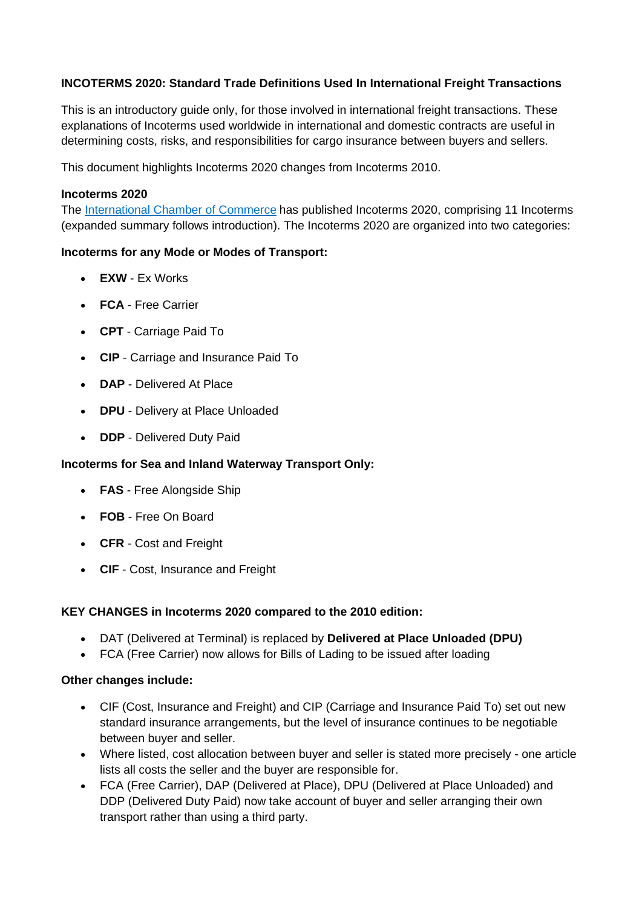## **INCOTERMS 2020: Standard Trade Definitions Used In International Freight Transactions**

This is an introductory guide only, for those involved in international freight transactions. These explanations of Incoterms used worldwide in international and domestic contracts are useful in determining costs, risks, and responsibilities for cargo insurance between buyers and sellers.

This document highlights Incoterms 2020 changes from Incoterms 2010.

### **Incoterms 2020**

The [International Chamber](https://iccwbo.org/resources-for-business/incoterms-rules/incoterms-2020/) of Commerce has published Incoterms 2020, comprising 11 Incoterms (expanded summary follows introduction). The Incoterms 2020 are organized into two categories:

### **Incoterms for any Mode or Modes of Transport:**

- **EXW** Ex Works
- **FCA** Free Carrier
- **CPT** Carriage Paid To
- **CIP** Carriage and Insurance Paid To
- **DAP** Delivered At Place
- **DPU** Delivery at Place Unloaded
- **DDP** Delivered Duty Paid

### **Incoterms for Sea and Inland Waterway Transport Only:**

- **FAS** Free Alongside Ship
- **FOB** Free On Board
- **CFR** Cost and Freight
- **CIF** Cost, Insurance and Freight

### **KEY CHANGES in Incoterms 2020 compared to the 2010 edition:**

- DAT (Delivered at Terminal) is replaced by **Delivered at Place Unloaded (DPU)**
- FCA (Free Carrier) now allows for Bills of Lading to be issued after loading

### **Other changes include:**

- CIF (Cost, Insurance and Freight) and CIP (Carriage and Insurance Paid To) set out new standard insurance arrangements, but the level of insurance continues to be negotiable between buyer and seller.
- Where listed, cost allocation between buyer and seller is stated more precisely one article lists all costs the seller and the buyer are responsible for.
- FCA (Free Carrier), DAP (Delivered at Place), DPU (Delivered at Place Unloaded) and DDP (Delivered Duty Paid) now take account of buyer and seller arranging their own transport rather than using a third party.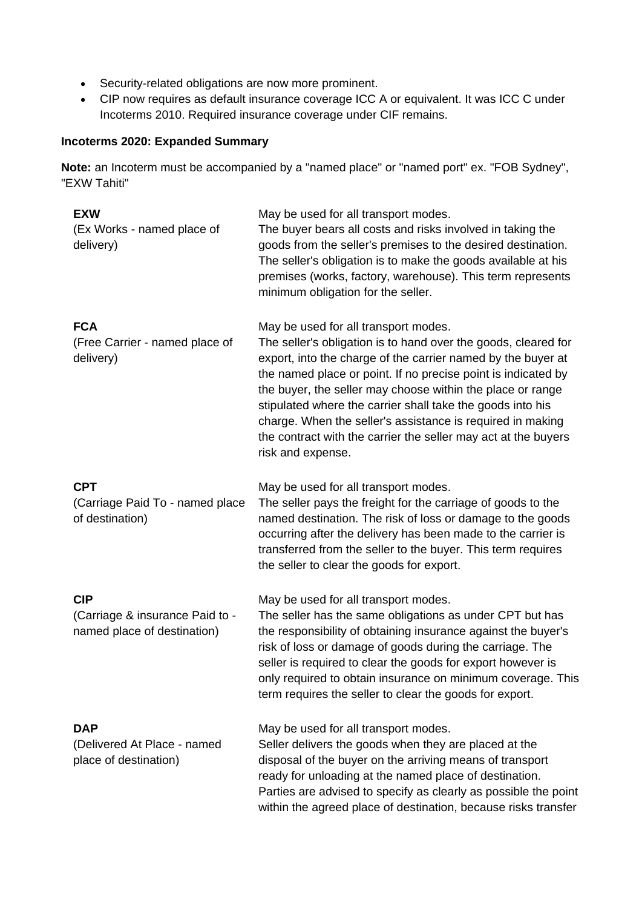- Security-related obligations are now more prominent.
- CIP now requires as default insurance coverage ICC A or equivalent. It was ICC C under Incoterms 2010. Required insurance coverage under CIF remains.

# **Incoterms 2020: Expanded Summary**

**Note:** an Incoterm must be accompanied by a "named place" or "named port" ex. "FOB Sydney", "EXW Tahiti"

| <b>EXW</b><br>(Ex Works - named place of<br>delivery)                        | May be used for all transport modes.<br>The buyer bears all costs and risks involved in taking the<br>goods from the seller's premises to the desired destination.<br>The seller's obligation is to make the goods available at his<br>premises (works, factory, warehouse). This term represents<br>minimum obligation for the seller.                                                                                                                                                                                  |
|------------------------------------------------------------------------------|--------------------------------------------------------------------------------------------------------------------------------------------------------------------------------------------------------------------------------------------------------------------------------------------------------------------------------------------------------------------------------------------------------------------------------------------------------------------------------------------------------------------------|
| <b>FCA</b><br>(Free Carrier - named place of<br>delivery)                    | May be used for all transport modes.<br>The seller's obligation is to hand over the goods, cleared for<br>export, into the charge of the carrier named by the buyer at<br>the named place or point. If no precise point is indicated by<br>the buyer, the seller may choose within the place or range<br>stipulated where the carrier shall take the goods into his<br>charge. When the seller's assistance is required in making<br>the contract with the carrier the seller may act at the buyers<br>risk and expense. |
| <b>CPT</b><br>(Carriage Paid To - named place<br>of destination)             | May be used for all transport modes.<br>The seller pays the freight for the carriage of goods to the<br>named destination. The risk of loss or damage to the goods<br>occurring after the delivery has been made to the carrier is<br>transferred from the seller to the buyer. This term requires<br>the seller to clear the goods for export.                                                                                                                                                                          |
| <b>CIP</b><br>(Carriage & insurance Paid to -<br>named place of destination) | May be used for all transport modes.<br>The seller has the same obligations as under CPT but has<br>the responsibility of obtaining insurance against the buyer's<br>risk of loss or damage of goods during the carriage. The<br>seller is required to clear the goods for export however is<br>only required to obtain insurance on minimum coverage. This<br>term requires the seller to clear the goods for export.                                                                                                   |
| <b>DAP</b><br>(Delivered At Place - named<br>place of destination)           | May be used for all transport modes.<br>Seller delivers the goods when they are placed at the<br>disposal of the buyer on the arriving means of transport<br>ready for unloading at the named place of destination.<br>Parties are advised to specify as clearly as possible the point<br>within the agreed place of destination, because risks transfer                                                                                                                                                                 |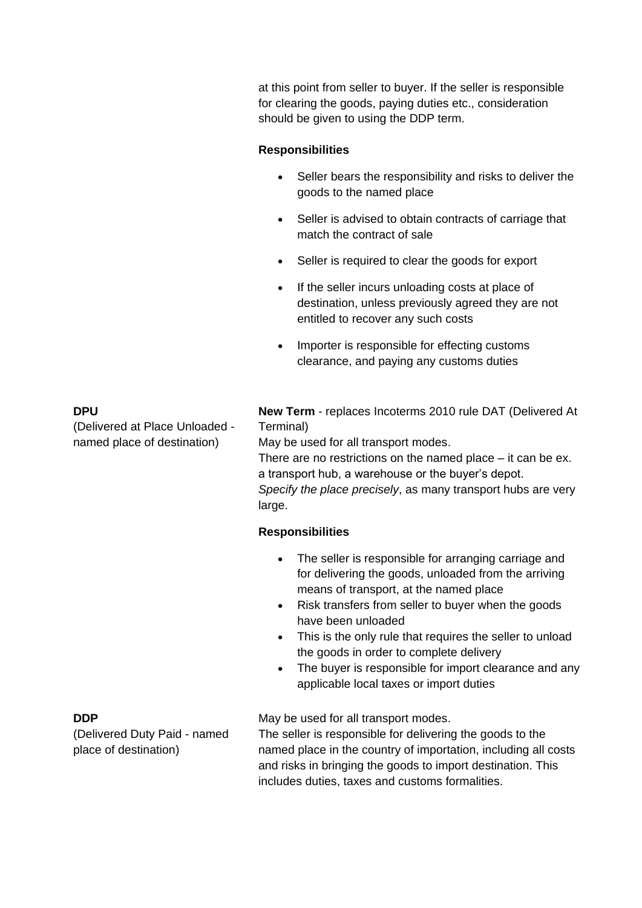at this point from seller to buyer. If the seller is responsible for clearing the goods, paying duties etc., consideration should be given to using the DDP term.

### **Responsibilities**

- Seller bears the responsibility and risks to deliver the goods to the named place
- Seller is advised to obtain contracts of carriage that match the contract of sale
- Seller is required to clear the goods for export
- If the seller incurs unloading costs at place of destination, unless previously agreed they are not entitled to recover any such costs
- Importer is responsible for effecting customs clearance, and paying any customs duties

#### **DPU**

(Delivered at Place Unloaded named place of destination)

**New Term** - replaces Incoterms 2010 rule DAT (Delivered At Terminal)

May be used for all transport modes.

There are no restrictions on the named place – it can be ex. a transport hub, a warehouse or the buyer's depot. *Specify the place precisely*, as many transport hubs are very large.

### **Responsibilities**

- The seller is responsible for arranging carriage and for delivering the goods, unloaded from the arriving means of transport, at the named place
- Risk transfers from seller to buyer when the goods have been unloaded
- This is the only rule that requires the seller to unload the goods in order to complete delivery
- The buver is responsible for import clearance and any applicable local taxes or import duties

### May be used for all transport modes.

The seller is responsible for delivering the goods to the named place in the country of importation, including all costs and risks in bringing the goods to import destination. This includes duties, taxes and customs formalities.

### **DDP**

(Delivered Duty Paid - named place of destination)